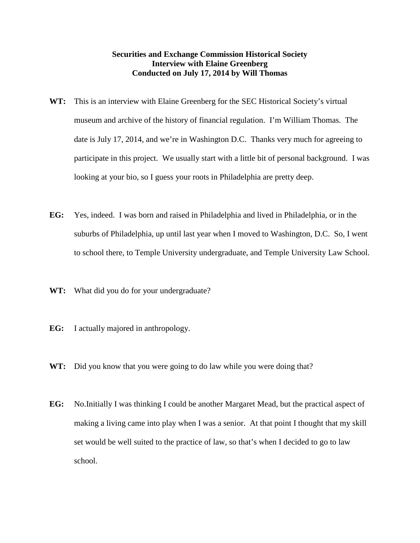## **Securities and Exchange Commission Historical Society Interview with Elaine Greenberg Conducted on July 17, 2014 by Will Thomas**

- **WT:** This is an interview with Elaine Greenberg for the SEC Historical Society's virtual museum and archive of the history of financial regulation. I'm William Thomas. The date is July 17, 2014, and we're in Washington D.C. Thanks very much for agreeing to participate in this project. We usually start with a little bit of personal background. I was looking at your bio, so I guess your roots in Philadelphia are pretty deep.
- **EG:** Yes, indeed. I was born and raised in Philadelphia and lived in Philadelphia, or in the suburbs of Philadelphia, up until last year when I moved to Washington, D.C. So, I went to school there, to Temple University undergraduate, and Temple University Law School.
- **WT:** What did you do for your undergraduate?
- **EG:** I actually majored in anthropology.
- **WT:** Did you know that you were going to do law while you were doing that?
- **EG:** No.Initially I was thinking I could be another Margaret Mead, but the practical aspect of making a living came into play when I was a senior. At that point I thought that my skill set would be well suited to the practice of law, so that's when I decided to go to law school.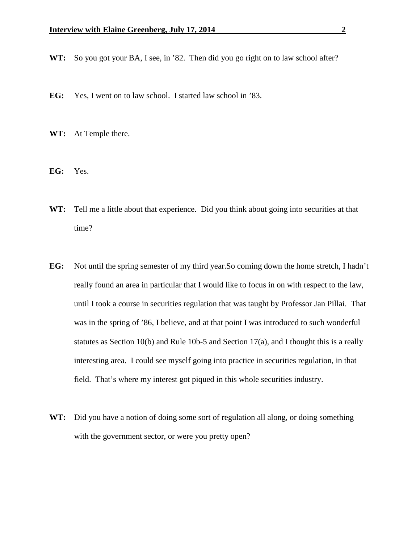- **WT:** So you got your BA, I see, in '82. Then did you go right on to law school after?
- **EG:** Yes, I went on to law school. I started law school in '83.
- **WT:** At Temple there.
- **EG:** Yes.
- **WT:** Tell me a little about that experience. Did you think about going into securities at that time?
- **EG:** Not until the spring semester of my third year.So coming down the home stretch, I hadn't really found an area in particular that I would like to focus in on with respect to the law, until I took a course in securities regulation that was taught by Professor Jan Pillai. That was in the spring of '86, I believe, and at that point I was introduced to such wonderful statutes as Section 10(b) and Rule 10b-5 and Section 17(a), and I thought this is a really interesting area. I could see myself going into practice in securities regulation, in that field. That's where my interest got piqued in this whole securities industry.
- **WT:** Did you have a notion of doing some sort of regulation all along, or doing something with the government sector, or were you pretty open?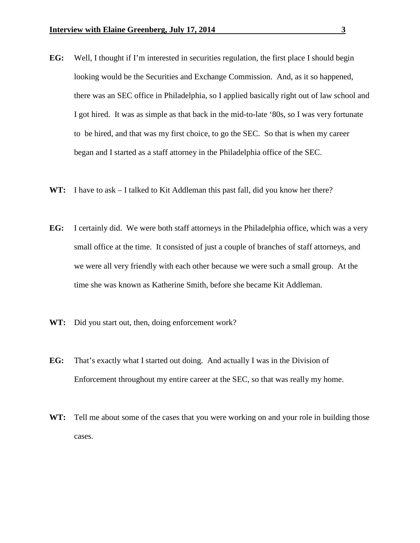- **EG:** Well, I thought if I'm interested in securities regulation, the first place I should begin looking would be the Securities and Exchange Commission. And, as it so happened, there was an SEC office in Philadelphia, so I applied basically right out of law school and I got hired. It was as simple as that back in the mid-to-late '80s, so I was very fortunate to be hired, and that was my first choice, to go the SEC. So that is when my career began and I started as a staff attorney in the Philadelphia office of the SEC.
- WT: I have to ask I talked to Kit Addleman this past fall, did you know her there?
- **EG:** I certainly did. We were both staff attorneys in the Philadelphia office, which was a very small office at the time. It consisted of just a couple of branches of staff attorneys, and we were all very friendly with each other because we were such a small group. At the time she was known as Katherine Smith, before she became Kit Addleman.
- **WT:** Did you start out, then, doing enforcement work?
- **EG:** That's exactly what I started out doing. And actually I was in the Division of Enforcement throughout my entire career at the SEC, so that was really my home.
- **WT:** Tell me about some of the cases that you were working on and your role in building those cases.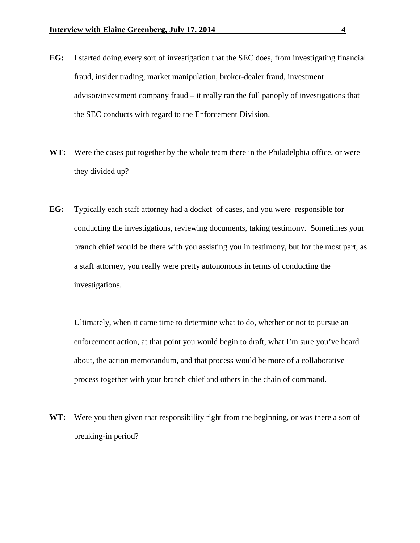- **EG:** I started doing every sort of investigation that the SEC does, from investigating financial fraud, insider trading, market manipulation, broker-dealer fraud, investment advisor/investment company fraud – it really ran the full panoply of investigations that the SEC conducts with regard to the Enforcement Division.
- **WT:** Were the cases put together by the whole team there in the Philadelphia office, or were they divided up?
- **EG:** Typically each staff attorney had a docket of cases, and you were responsible for conducting the investigations, reviewing documents, taking testimony. Sometimes your branch chief would be there with you assisting you in testimony, but for the most part, as a staff attorney, you really were pretty autonomous in terms of conducting the investigations.

Ultimately, when it came time to determine what to do, whether or not to pursue an enforcement action, at that point you would begin to draft, what I'm sure you've heard about, the action memorandum, and that process would be more of a collaborative process together with your branch chief and others in the chain of command.

WT: Were you then given that responsibility right from the beginning, or was there a sort of breaking-in period?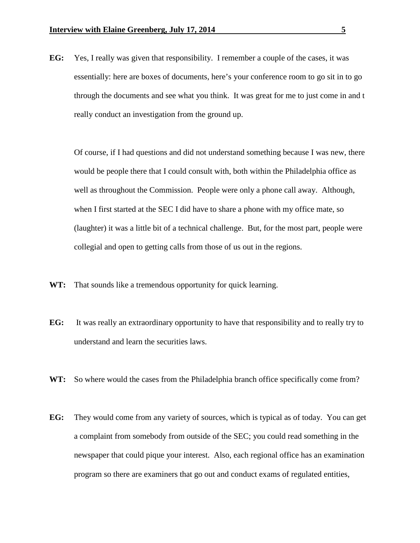**EG:** Yes, I really was given that responsibility. I remember a couple of the cases, it was essentially: here are boxes of documents, here's your conference room to go sit in to go through the documents and see what you think. It was great for me to just come in and t really conduct an investigation from the ground up.

Of course, if I had questions and did not understand something because I was new, there would be people there that I could consult with, both within the Philadelphia office as well as throughout the Commission. People were only a phone call away. Although, when I first started at the SEC I did have to share a phone with my office mate, so (laughter) it was a little bit of a technical challenge. But, for the most part, people were collegial and open to getting calls from those of us out in the regions.

- **WT:** That sounds like a tremendous opportunity for quick learning.
- **EG:** It was really an extraordinary opportunity to have that responsibility and to really try to understand and learn the securities laws.
- **WT:** So where would the cases from the Philadelphia branch office specifically come from?
- **EG:** They would come from any variety of sources, which is typical as of today. You can get a complaint from somebody from outside of the SEC; you could read something in the newspaper that could pique your interest. Also, each regional office has an examination program so there are examiners that go out and conduct exams of regulated entities,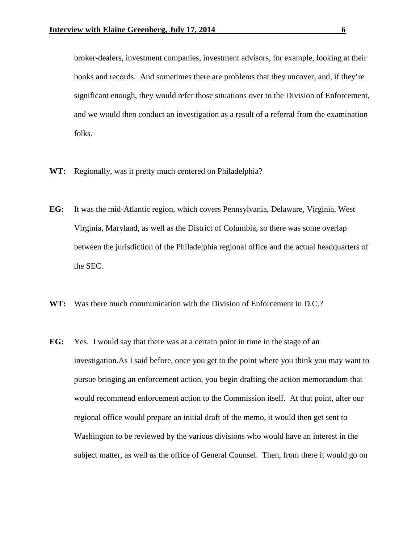broker-dealers, investment companies, investment advisors, for example, looking at their books and records. And sometimes there are problems that they uncover, and, if they're significant enough, they would refer those situations over to the Division of Enforcement, and we would then conduct an investigation as a result of a referral from the examination folks.

- **WT:** Regionally, was it pretty much centered on Philadelphia?
- **EG:** It was the mid-Atlantic region, which covers Pennsylvania, Delaware, Virginia, West Virginia, Maryland, as well as the District of Columbia, so there was some overlap between the jurisdiction of the Philadelphia regional office and the actual headquarters of the SEC.
- **WT:** Was there much communication with the Division of Enforcement in D.C.?
- **EG:** Yes. I would say that there was at a certain point in time in the stage of an investigation.As I said before, once you get to the point where you think you may want to pursue bringing an enforcement action, you begin drafting the action memorandum that would recommend enforcement action to the Commission itself. At that point, after our regional office would prepare an initial draft of the memo, it would then get sent to Washington to be reviewed by the various divisions who would have an interest in the subject matter, as well as the office of General Counsel. Then, from there it would go on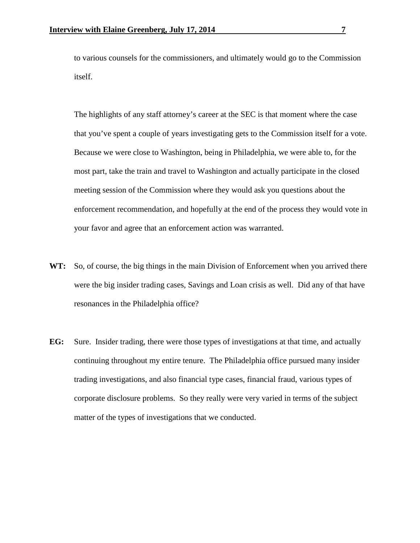to various counsels for the commissioners, and ultimately would go to the Commission itself.

The highlights of any staff attorney's career at the SEC is that moment where the case that you've spent a couple of years investigating gets to the Commission itself for a vote. Because we were close to Washington, being in Philadelphia, we were able to, for the most part, take the train and travel to Washington and actually participate in the closed meeting session of the Commission where they would ask you questions about the enforcement recommendation, and hopefully at the end of the process they would vote in your favor and agree that an enforcement action was warranted.

- **WT:** So, of course, the big things in the main Division of Enforcement when you arrived there were the big insider trading cases, Savings and Loan crisis as well. Did any of that have resonances in the Philadelphia office?
- **EG:** Sure. Insider trading, there were those types of investigations at that time, and actually continuing throughout my entire tenure. The Philadelphia office pursued many insider trading investigations, and also financial type cases, financial fraud, various types of corporate disclosure problems. So they really were very varied in terms of the subject matter of the types of investigations that we conducted.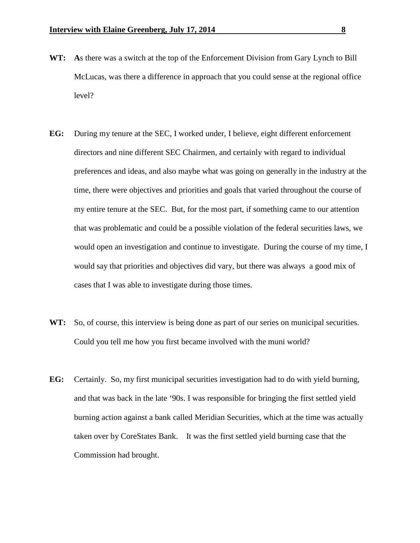- **WT: A**s there was a switch at the top of the Enforcement Division from Gary Lynch to Bill McLucas, was there a difference in approach that you could sense at the regional office level?
- **EG:** During my tenure at the SEC, I worked under, I believe, eight different enforcement directors and nine different SEC Chairmen, and certainly with regard to individual preferences and ideas, and also maybe what was going on generally in the industry at the time, there were objectives and priorities and goals that varied throughout the course of my entire tenure at the SEC. But, for the most part, if something came to our attention that was problematic and could be a possible violation of the federal securities laws, we would open an investigation and continue to investigate. During the course of my time, I would say that priorities and objectives did vary, but there was always a good mix of cases that I was able to investigate during those times.
- WT: So, of course, this interview is being done as part of our series on municipal securities. Could you tell me how you first became involved with the muni world?
- **EG:** Certainly. So, my first municipal securities investigation had to do with yield burning, and that was back in the late '90s. I was responsible for bringing the first settled yield burning action against a bank called Meridian Securities, which at the time was actually taken over by CoreStates Bank. It was the first settled yield burning case that the Commission had brought.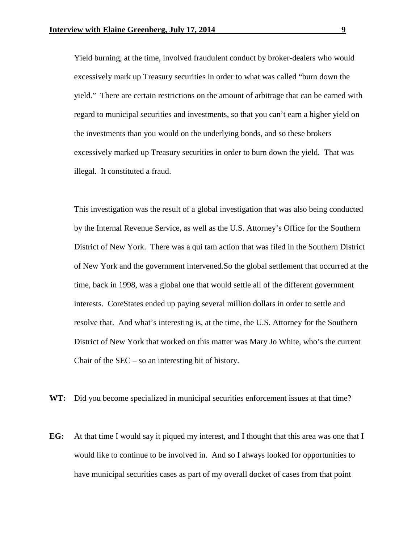Yield burning, at the time, involved fraudulent conduct by broker-dealers who would excessively mark up Treasury securities in order to what was called "burn down the yield." There are certain restrictions on the amount of arbitrage that can be earned with regard to municipal securities and investments, so that you can't earn a higher yield on the investments than you would on the underlying bonds, and so these brokers excessively marked up Treasury securities in order to burn down the yield. That was illegal. It constituted a fraud.

This investigation was the result of a global investigation that was also being conducted by the Internal Revenue Service, as well as the U.S. Attorney's Office for the Southern District of New York. There was a qui tam action that was filed in the Southern District of New York and the government intervened.So the global settlement that occurred at the time, back in 1998, was a global one that would settle all of the different government interests. CoreStates ended up paying several million dollars in order to settle and resolve that. And what's interesting is, at the time, the U.S. Attorney for the Southern District of New York that worked on this matter was Mary Jo White, who's the current Chair of the  $SEC - so$  an interesting bit of history.

**WT:** Did you become specialized in municipal securities enforcement issues at that time?

**EG:** At that time I would say it piqued my interest, and I thought that this area was one that I would like to continue to be involved in. And so I always looked for opportunities to have municipal securities cases as part of my overall docket of cases from that point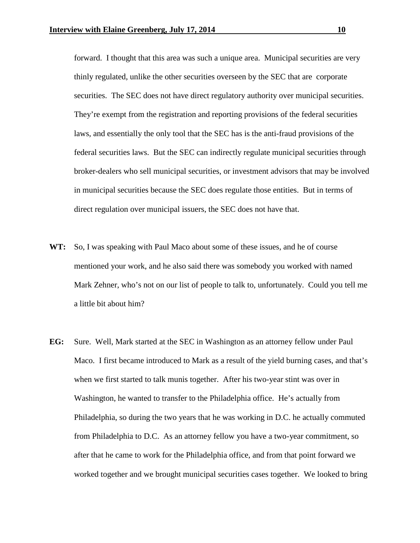forward. I thought that this area was such a unique area. Municipal securities are very thinly regulated, unlike the other securities overseen by the SEC that are corporate securities. The SEC does not have direct regulatory authority over municipal securities. They're exempt from the registration and reporting provisions of the federal securities laws, and essentially the only tool that the SEC has is the anti-fraud provisions of the federal securities laws. But the SEC can indirectly regulate municipal securities through broker-dealers who sell municipal securities, or investment advisors that may be involved in municipal securities because the SEC does regulate those entities. But in terms of direct regulation over municipal issuers, the SEC does not have that.

- **WT:** So, I was speaking with Paul Maco about some of these issues, and he of course mentioned your work, and he also said there was somebody you worked with named Mark Zehner, who's not on our list of people to talk to, unfortunately. Could you tell me a little bit about him?
- **EG:** Sure. Well, Mark started at the SEC in Washington as an attorney fellow under Paul Maco. I first became introduced to Mark as a result of the yield burning cases, and that's when we first started to talk munis together. After his two-year stint was over in Washington, he wanted to transfer to the Philadelphia office. He's actually from Philadelphia, so during the two years that he was working in D.C. he actually commuted from Philadelphia to D.C. As an attorney fellow you have a two-year commitment, so after that he came to work for the Philadelphia office, and from that point forward we worked together and we brought municipal securities cases together. We looked to bring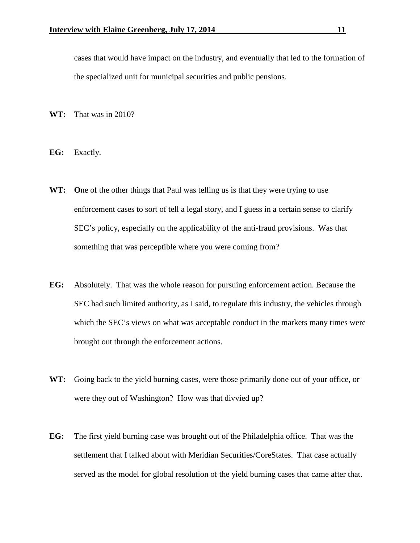cases that would have impact on the industry, and eventually that led to the formation of the specialized unit for municipal securities and public pensions.

- **WT:** That was in 2010?
- **EG:** Exactly.
- WT: One of the other things that Paul was telling us is that they were trying to use enforcement cases to sort of tell a legal story, and I guess in a certain sense to clarify SEC's policy, especially on the applicability of the anti-fraud provisions. Was that something that was perceptible where you were coming from?
- **EG:** Absolutely. That was the whole reason for pursuing enforcement action. Because the SEC had such limited authority, as I said, to regulate this industry, the vehicles through which the SEC's views on what was acceptable conduct in the markets many times were brought out through the enforcement actions.
- **WT:** Going back to the yield burning cases, were those primarily done out of your office, or were they out of Washington? How was that divvied up?
- **EG:** The first yield burning case was brought out of the Philadelphia office. That was the settlement that I talked about with Meridian Securities/CoreStates. That case actually served as the model for global resolution of the yield burning cases that came after that.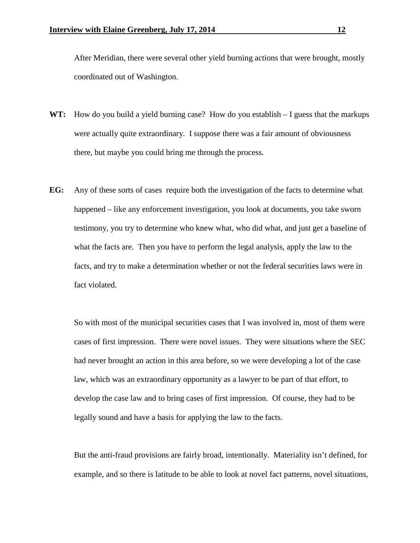After Meridian, there were several other yield burning actions that were brought, mostly coordinated out of Washington.

- **WT:** How do you build a yield burning case? How do you establish I guess that the markups were actually quite extraordinary. I suppose there was a fair amount of obviousness there, but maybe you could bring me through the process.
- **EG:** Any of these sorts of cases require both the investigation of the facts to determine what happened – like any enforcement investigation, you look at documents, you take sworn testimony, you try to determine who knew what, who did what, and just get a baseline of what the facts are. Then you have to perform the legal analysis, apply the law to the facts, and try to make a determination whether or not the federal securities laws were in fact violated.

So with most of the municipal securities cases that I was involved in, most of them were cases of first impression. There were novel issues. They were situations where the SEC had never brought an action in this area before, so we were developing a lot of the case law, which was an extraordinary opportunity as a lawyer to be part of that effort, to develop the case law and to bring cases of first impression. Of course, they had to be legally sound and have a basis for applying the law to the facts.

But the anti-fraud provisions are fairly broad, intentionally. Materiality isn't defined, for example, and so there is latitude to be able to look at novel fact patterns, novel situations,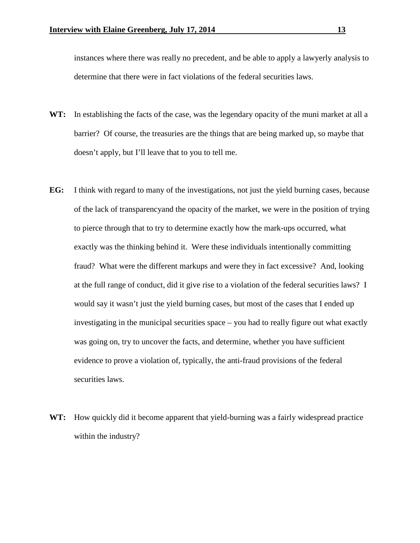instances where there was really no precedent, and be able to apply a lawyerly analysis to determine that there were in fact violations of the federal securities laws.

- **WT:** In establishing the facts of the case, was the legendary opacity of the muni market at all a barrier? Of course, the treasuries are the things that are being marked up, so maybe that doesn't apply, but I'll leave that to you to tell me.
- **EG:** I think with regard to many of the investigations, not just the yield burning cases, because of the lack of transparencyand the opacity of the market, we were in the position of trying to pierce through that to try to determine exactly how the mark-ups occurred, what exactly was the thinking behind it. Were these individuals intentionally committing fraud? What were the different markups and were they in fact excessive? And, looking at the full range of conduct, did it give rise to a violation of the federal securities laws? I would say it wasn't just the yield burning cases, but most of the cases that I ended up investigating in the municipal securities space – you had to really figure out what exactly was going on, try to uncover the facts, and determine, whether you have sufficient evidence to prove a violation of, typically, the anti-fraud provisions of the federal securities laws.
- **WT:** How quickly did it become apparent that yield-burning was a fairly widespread practice within the industry?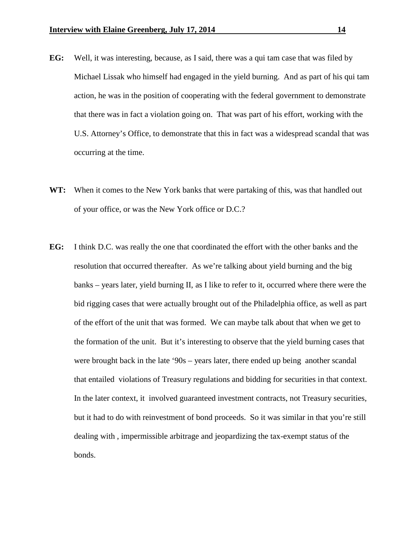- **EG:** Well, it was interesting, because, as I said, there was a qui tam case that was filed by Michael Lissak who himself had engaged in the yield burning. And as part of his qui tam action, he was in the position of cooperating with the federal government to demonstrate that there was in fact a violation going on. That was part of his effort, working with the U.S. Attorney's Office, to demonstrate that this in fact was a widespread scandal that was occurring at the time.
- **WT:** When it comes to the New York banks that were partaking of this, was that handled out of your office, or was the New York office or D.C.?
- **EG:** I think D.C. was really the one that coordinated the effort with the other banks and the resolution that occurred thereafter. As we're talking about yield burning and the big banks – years later, yield burning II, as I like to refer to it, occurred where there were the bid rigging cases that were actually brought out of the Philadelphia office, as well as part of the effort of the unit that was formed. We can maybe talk about that when we get to the formation of the unit. But it's interesting to observe that the yield burning cases that were brought back in the late '90s – years later, there ended up being another scandal that entailed violations of Treasury regulations and bidding for securities in that context. In the later context, it involved guaranteed investment contracts, not Treasury securities, but it had to do with reinvestment of bond proceeds. So it was similar in that you're still dealing with , impermissible arbitrage and jeopardizing the tax-exempt status of the bonds.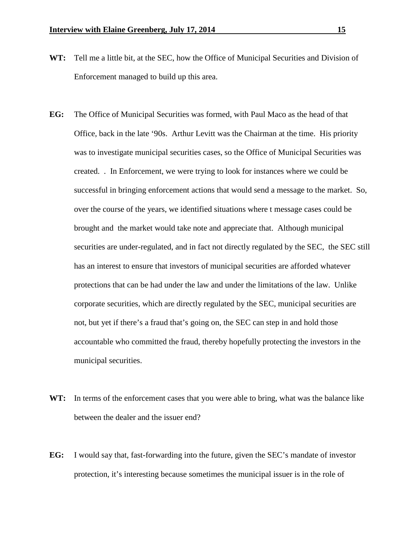- **WT:** Tell me a little bit, at the SEC, how the Office of Municipal Securities and Division of Enforcement managed to build up this area.
- **EG:** The Office of Municipal Securities was formed, with Paul Maco as the head of that Office, back in the late '90s. Arthur Levitt was the Chairman at the time. His priority was to investigate municipal securities cases, so the Office of Municipal Securities was created. . In Enforcement, we were trying to look for instances where we could be successful in bringing enforcement actions that would send a message to the market. So, over the course of the years, we identified situations where t message cases could be brought and the market would take note and appreciate that. Although municipal securities are under-regulated, and in fact not directly regulated by the SEC, the SEC still has an interest to ensure that investors of municipal securities are afforded whatever protections that can be had under the law and under the limitations of the law. Unlike corporate securities, which are directly regulated by the SEC, municipal securities are not, but yet if there's a fraud that's going on, the SEC can step in and hold those accountable who committed the fraud, thereby hopefully protecting the investors in the municipal securities.
- **WT:** In terms of the enforcement cases that you were able to bring, what was the balance like between the dealer and the issuer end?
- **EG:** I would say that, fast-forwarding into the future, given the SEC's mandate of investor protection, it's interesting because sometimes the municipal issuer is in the role of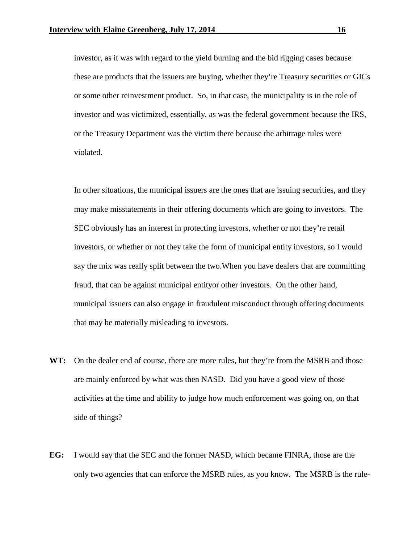investor, as it was with regard to the yield burning and the bid rigging cases because these are products that the issuers are buying, whether they're Treasury securities or GICs or some other reinvestment product. So, in that case, the municipality is in the role of investor and was victimized, essentially, as was the federal government because the IRS, or the Treasury Department was the victim there because the arbitrage rules were violated.

In other situations, the municipal issuers are the ones that are issuing securities, and they may make misstatements in their offering documents which are going to investors. The SEC obviously has an interest in protecting investors, whether or not they're retail investors, or whether or not they take the form of municipal entity investors, so I would say the mix was really split between the two.When you have dealers that are committing fraud, that can be against municipal entityor other investors. On the other hand, municipal issuers can also engage in fraudulent misconduct through offering documents that may be materially misleading to investors.

- **WT:** On the dealer end of course, there are more rules, but they're from the MSRB and those are mainly enforced by what was then NASD. Did you have a good view of those activities at the time and ability to judge how much enforcement was going on, on that side of things?
- **EG:** I would say that the SEC and the former NASD, which became FINRA, those are the only two agencies that can enforce the MSRB rules, as you know. The MSRB is the rule-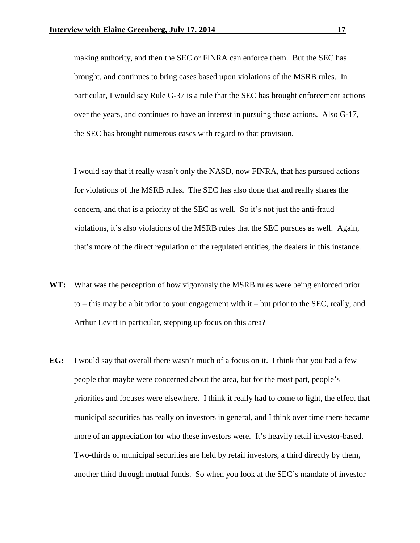making authority, and then the SEC or FINRA can enforce them. But the SEC has brought, and continues to bring cases based upon violations of the MSRB rules. In particular, I would say Rule G-37 is a rule that the SEC has brought enforcement actions over the years, and continues to have an interest in pursuing those actions. Also G-17, the SEC has brought numerous cases with regard to that provision.

I would say that it really wasn't only the NASD, now FINRA, that has pursued actions for violations of the MSRB rules. The SEC has also done that and really shares the concern, and that is a priority of the SEC as well. So it's not just the anti-fraud violations, it's also violations of the MSRB rules that the SEC pursues as well. Again, that's more of the direct regulation of the regulated entities, the dealers in this instance.

- **WT:** What was the perception of how vigorously the MSRB rules were being enforced prior to – this may be a bit prior to your engagement with  $it$  – but prior to the SEC, really, and Arthur Levitt in particular, stepping up focus on this area?
- **EG:** I would say that overall there wasn't much of a focus on it. I think that you had a few people that maybe were concerned about the area, but for the most part, people's priorities and focuses were elsewhere. I think it really had to come to light, the effect that municipal securities has really on investors in general, and I think over time there became more of an appreciation for who these investors were. It's heavily retail investor-based. Two-thirds of municipal securities are held by retail investors, a third directly by them, another third through mutual funds. So when you look at the SEC's mandate of investor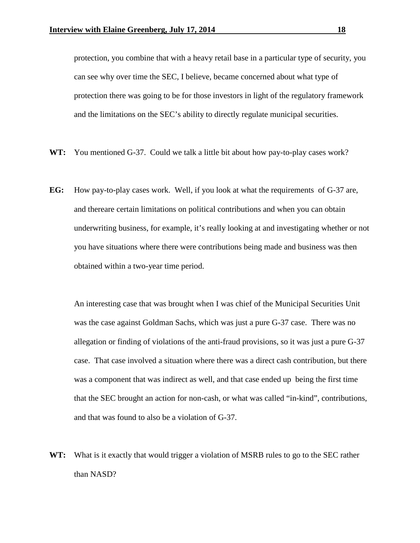protection, you combine that with a heavy retail base in a particular type of security, you can see why over time the SEC, I believe, became concerned about what type of protection there was going to be for those investors in light of the regulatory framework and the limitations on the SEC's ability to directly regulate municipal securities.

- **WT:** You mentioned G-37. Could we talk a little bit about how pay-to-play cases work?
- **EG:** How pay-to-play cases work. Well, if you look at what the requirements of G-37 are, and thereare certain limitations on political contributions and when you can obtain underwriting business, for example, it's really looking at and investigating whether or not you have situations where there were contributions being made and business was then obtained within a two-year time period.

An interesting case that was brought when I was chief of the Municipal Securities Unit was the case against Goldman Sachs, which was just a pure G-37 case. There was no allegation or finding of violations of the anti-fraud provisions, so it was just a pure G-37 case. That case involved a situation where there was a direct cash contribution, but there was a component that was indirect as well, and that case ended up being the first time that the SEC brought an action for non-cash, or what was called "in-kind", contributions, and that was found to also be a violation of G-37.

**WT:** What is it exactly that would trigger a violation of MSRB rules to go to the SEC rather than NASD?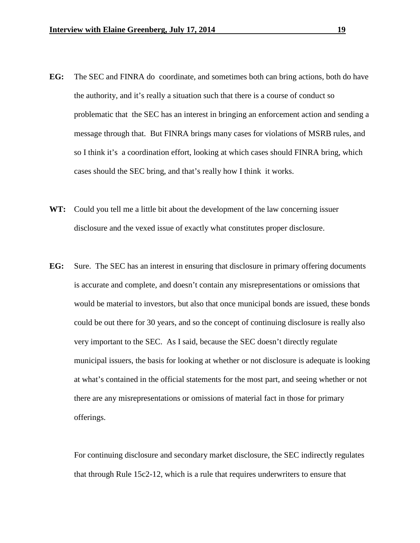- **EG:** The SEC and FINRA do coordinate, and sometimes both can bring actions, both do have the authority, and it's really a situation such that there is a course of conduct so problematic that the SEC has an interest in bringing an enforcement action and sending a message through that. But FINRA brings many cases for violations of MSRB rules, and so I think it's a coordination effort, looking at which cases should FINRA bring, which cases should the SEC bring, and that's really how I think it works.
- **WT:** Could you tell me a little bit about the development of the law concerning issuer disclosure and the vexed issue of exactly what constitutes proper disclosure.
- **EG:** Sure. The SEC has an interest in ensuring that disclosure in primary offering documents is accurate and complete, and doesn't contain any misrepresentations or omissions that would be material to investors, but also that once municipal bonds are issued, these bonds could be out there for 30 years, and so the concept of continuing disclosure is really also very important to the SEC. As I said, because the SEC doesn't directly regulate municipal issuers, the basis for looking at whether or not disclosure is adequate is looking at what's contained in the official statements for the most part, and seeing whether or not there are any misrepresentations or omissions of material fact in those for primary offerings.

For continuing disclosure and secondary market disclosure, the SEC indirectly regulates that through Rule 15c2-12, which is a rule that requires underwriters to ensure that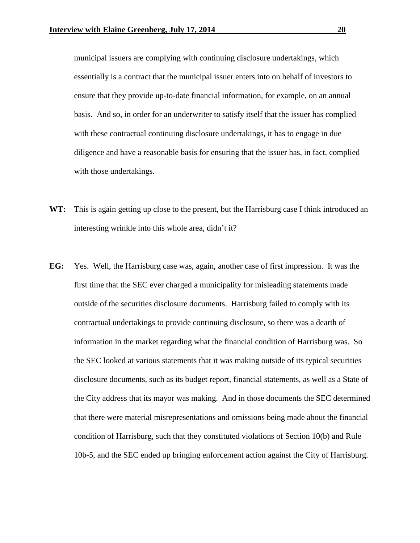municipal issuers are complying with continuing disclosure undertakings, which essentially is a contract that the municipal issuer enters into on behalf of investors to ensure that they provide up-to-date financial information, for example, on an annual basis. And so, in order for an underwriter to satisfy itself that the issuer has complied with these contractual continuing disclosure undertakings, it has to engage in due diligence and have a reasonable basis for ensuring that the issuer has, in fact, complied with those undertakings.

- **WT:** This is again getting up close to the present, but the Harrisburg case I think introduced an interesting wrinkle into this whole area, didn't it?
- **EG:** Yes. Well, the Harrisburg case was, again, another case of first impression. It was the first time that the SEC ever charged a municipality for misleading statements made outside of the securities disclosure documents. Harrisburg failed to comply with its contractual undertakings to provide continuing disclosure, so there was a dearth of information in the market regarding what the financial condition of Harrisburg was. So the SEC looked at various statements that it was making outside of its typical securities disclosure documents, such as its budget report, financial statements, as well as a State of the City address that its mayor was making. And in those documents the SEC determined that there were material misrepresentations and omissions being made about the financial condition of Harrisburg, such that they constituted violations of Section 10(b) and Rule 10b-5, and the SEC ended up bringing enforcement action against the City of Harrisburg.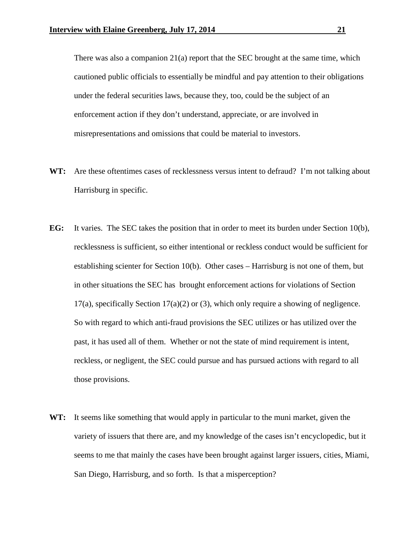There was also a companion  $21(a)$  report that the SEC brought at the same time, which cautioned public officials to essentially be mindful and pay attention to their obligations under the federal securities laws, because they, too, could be the subject of an enforcement action if they don't understand, appreciate, or are involved in misrepresentations and omissions that could be material to investors.

- **WT:** Are these oftentimes cases of recklessness versus intent to defraud? I'm not talking about Harrisburg in specific.
- **EG:** It varies. The SEC takes the position that in order to meet its burden under Section 10(b), recklessness is sufficient, so either intentional or reckless conduct would be sufficient for establishing scienter for Section 10(b). Other cases – Harrisburg is not one of them, but in other situations the SEC has brought enforcement actions for violations of Section  $17(a)$ , specifically Section  $17(a)(2)$  or (3), which only require a showing of negligence. So with regard to which anti-fraud provisions the SEC utilizes or has utilized over the past, it has used all of them. Whether or not the state of mind requirement is intent, reckless, or negligent, the SEC could pursue and has pursued actions with regard to all those provisions.
- **WT:** It seems like something that would apply in particular to the muni market, given the variety of issuers that there are, and my knowledge of the cases isn't encyclopedic, but it seems to me that mainly the cases have been brought against larger issuers, cities, Miami, San Diego, Harrisburg, and so forth. Is that a misperception?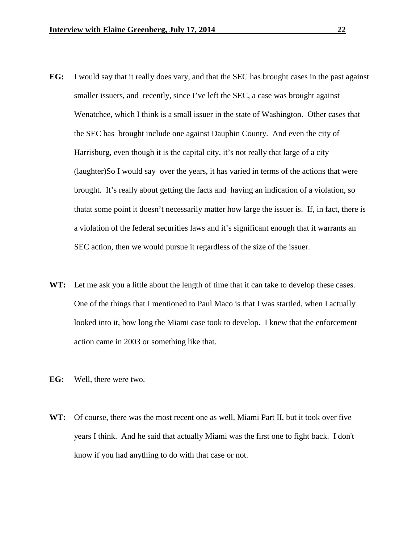- **EG:** I would say that it really does vary, and that the SEC has brought cases in the past against smaller issuers, and recently, since I've left the SEC, a case was brought against Wenatchee, which I think is a small issuer in the state of Washington. Other cases that the SEC has brought include one against Dauphin County. And even the city of Harrisburg, even though it is the capital city, it's not really that large of a city (laughter)So I would say over the years, it has varied in terms of the actions that were brought. It's really about getting the facts and having an indication of a violation, so thatat some point it doesn't necessarily matter how large the issuer is. If, in fact, there is a violation of the federal securities laws and it's significant enough that it warrants an SEC action, then we would pursue it regardless of the size of the issuer.
- WT: Let me ask you a little about the length of time that it can take to develop these cases. One of the things that I mentioned to Paul Maco is that I was startled, when I actually looked into it, how long the Miami case took to develop. I knew that the enforcement action came in 2003 or something like that.
- **EG:** Well, there were two.
- **WT:** Of course, there was the most recent one as well, Miami Part II, but it took over five years I think. And he said that actually Miami was the first one to fight back. I don't know if you had anything to do with that case or not.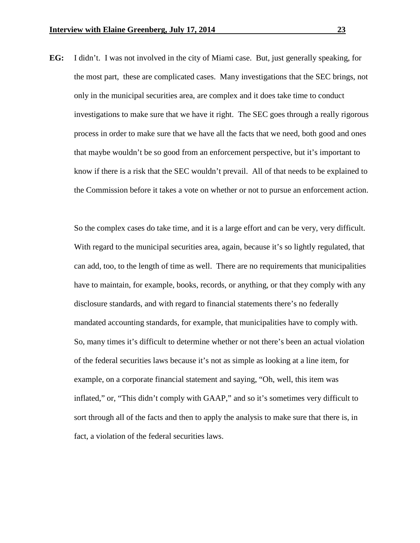**EG:** I didn't. I was not involved in the city of Miami case. But, just generally speaking, for the most part, these are complicated cases. Many investigations that the SEC brings, not only in the municipal securities area, are complex and it does take time to conduct investigations to make sure that we have it right. The SEC goes through a really rigorous process in order to make sure that we have all the facts that we need, both good and ones that maybe wouldn't be so good from an enforcement perspective, but it's important to know if there is a risk that the SEC wouldn't prevail. All of that needs to be explained to the Commission before it takes a vote on whether or not to pursue an enforcement action.

So the complex cases do take time, and it is a large effort and can be very, very difficult. With regard to the municipal securities area, again, because it's so lightly regulated, that can add, too, to the length of time as well. There are no requirements that municipalities have to maintain, for example, books, records, or anything, or that they comply with any disclosure standards, and with regard to financial statements there's no federally mandated accounting standards, for example, that municipalities have to comply with. So, many times it's difficult to determine whether or not there's been an actual violation of the federal securities laws because it's not as simple as looking at a line item, for example, on a corporate financial statement and saying, "Oh, well, this item was inflated," or, "This didn't comply with GAAP," and so it's sometimes very difficult to sort through all of the facts and then to apply the analysis to make sure that there is, in fact, a violation of the federal securities laws.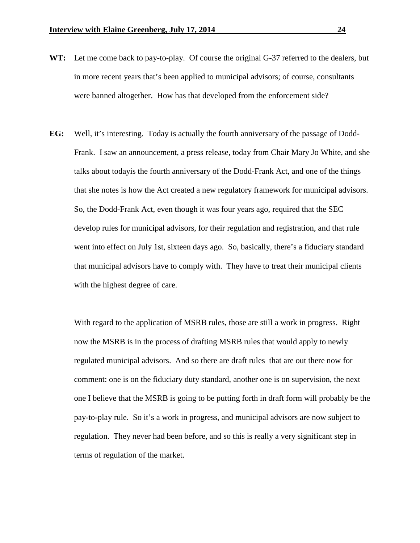- **WT:** Let me come back to pay-to-play. Of course the original G-37 referred to the dealers, but in more recent years that's been applied to municipal advisors; of course, consultants were banned altogether. How has that developed from the enforcement side?
- **EG:** Well, it's interesting. Today is actually the fourth anniversary of the passage of Dodd-Frank. I saw an announcement, a press release, today from Chair Mary Jo White, and she talks about todayis the fourth anniversary of the Dodd-Frank Act, and one of the things that she notes is how the Act created a new regulatory framework for municipal advisors. So, the Dodd-Frank Act, even though it was four years ago, required that the SEC develop rules for municipal advisors, for their regulation and registration, and that rule went into effect on July 1st, sixteen days ago. So, basically, there's a fiduciary standard that municipal advisors have to comply with. They have to treat their municipal clients with the highest degree of care.

With regard to the application of MSRB rules, those are still a work in progress. Right now the MSRB is in the process of drafting MSRB rules that would apply to newly regulated municipal advisors. And so there are draft rules that are out there now for comment: one is on the fiduciary duty standard, another one is on supervision, the next one I believe that the MSRB is going to be putting forth in draft form will probably be the pay-to-play rule. So it's a work in progress, and municipal advisors are now subject to regulation. They never had been before, and so this is really a very significant step in terms of regulation of the market.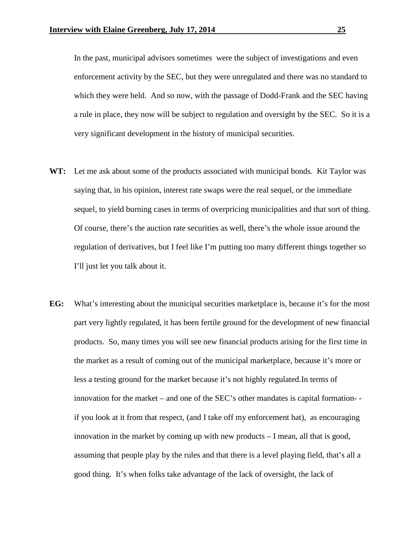In the past, municipal advisors sometimes were the subject of investigations and even enforcement activity by the SEC, but they were unregulated and there was no standard to which they were held. And so now, with the passage of Dodd-Frank and the SEC having a rule in place, they now will be subject to regulation and oversight by the SEC. So it is a very significant development in the history of municipal securities.

- **WT:** Let me ask about some of the products associated with municipal bonds. Kit Taylor was saying that, in his opinion, interest rate swaps were the real sequel, or the immediate sequel, to yield burning cases in terms of overpricing municipalities and that sort of thing. Of course, there's the auction rate securities as well, there's the whole issue around the regulation of derivatives, but I feel like I'm putting too many different things together so I'll just let you talk about it.
- **EG:** What's interesting about the municipal securities marketplace is, because it's for the most part very lightly regulated, it has been fertile ground for the development of new financial products. So, many times you will see new financial products arising for the first time in the market as a result of coming out of the municipal marketplace, because it's more or less a testing ground for the market because it's not highly regulated.In terms of innovation for the market – and one of the SEC's other mandates is capital formation- if you look at it from that respect, (and I take off my enforcement hat), as encouraging innovation in the market by coming up with new products – I mean, all that is good, assuming that people play by the rules and that there is a level playing field, that's all a good thing. It's when folks take advantage of the lack of oversight, the lack of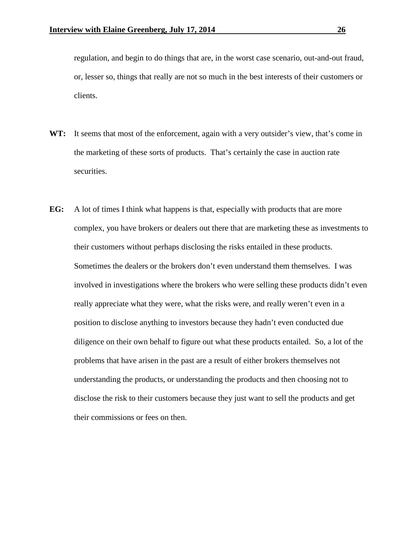regulation, and begin to do things that are, in the worst case scenario, out-and-out fraud, or, lesser so, things that really are not so much in the best interests of their customers or clients.

- **WT:** It seems that most of the enforcement, again with a very outsider's view, that's come in the marketing of these sorts of products. That's certainly the case in auction rate securities.
- **EG:** A lot of times I think what happens is that, especially with products that are more complex, you have brokers or dealers out there that are marketing these as investments to their customers without perhaps disclosing the risks entailed in these products. Sometimes the dealers or the brokers don't even understand them themselves. I was involved in investigations where the brokers who were selling these products didn't even really appreciate what they were, what the risks were, and really weren't even in a position to disclose anything to investors because they hadn't even conducted due diligence on their own behalf to figure out what these products entailed. So, a lot of the problems that have arisen in the past are a result of either brokers themselves not understanding the products, or understanding the products and then choosing not to disclose the risk to their customers because they just want to sell the products and get their commissions or fees on then.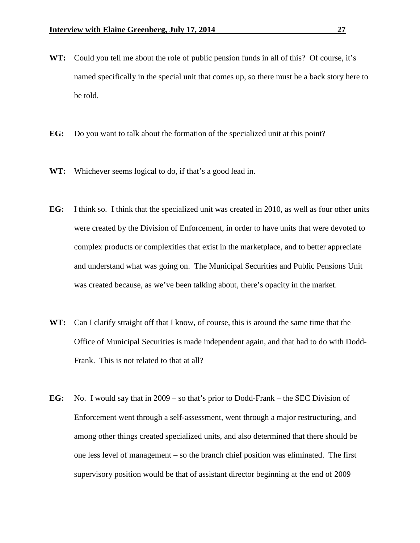- **WT:** Could you tell me about the role of public pension funds in all of this? Of course, it's named specifically in the special unit that comes up, so there must be a back story here to be told.
- **EG:** Do you want to talk about the formation of the specialized unit at this point?
- WT: Whichever seems logical to do, if that's a good lead in.
- **EG:** I think so. I think that the specialized unit was created in 2010, as well as four other units were created by the Division of Enforcement, in order to have units that were devoted to complex products or complexities that exist in the marketplace, and to better appreciate and understand what was going on. The Municipal Securities and Public Pensions Unit was created because, as we've been talking about, there's opacity in the market.
- **WT:** Can I clarify straight off that I know, of course, this is around the same time that the Office of Municipal Securities is made independent again, and that had to do with Dodd-Frank. This is not related to that at all?
- **EG:** No. I would say that in 2009 so that's prior to Dodd-Frank the SEC Division of Enforcement went through a self-assessment, went through a major restructuring, and among other things created specialized units, and also determined that there should be one less level of management – so the branch chief position was eliminated. The first supervisory position would be that of assistant director beginning at the end of 2009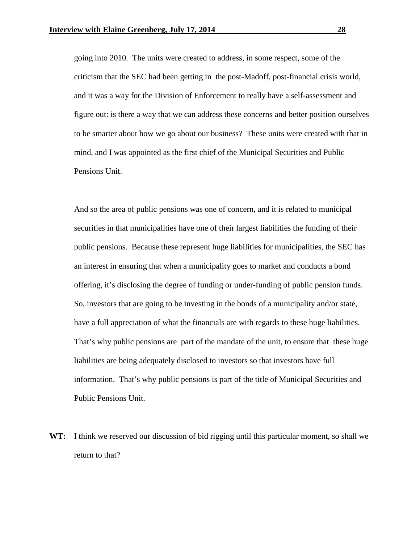going into 2010. The units were created to address, in some respect, some of the criticism that the SEC had been getting in the post-Madoff, post-financial crisis world, and it was a way for the Division of Enforcement to really have a self-assessment and figure out: is there a way that we can address these concerns and better position ourselves to be smarter about how we go about our business? These units were created with that in mind, and I was appointed as the first chief of the Municipal Securities and Public Pensions Unit.

And so the area of public pensions was one of concern, and it is related to municipal securities in that municipalities have one of their largest liabilities the funding of their public pensions. Because these represent huge liabilities for municipalities, the SEC has an interest in ensuring that when a municipality goes to market and conducts a bond offering, it's disclosing the degree of funding or under-funding of public pension funds. So, investors that are going to be investing in the bonds of a municipality and/or state, have a full appreciation of what the financials are with regards to these huge liabilities. That's why public pensions are part of the mandate of the unit, to ensure that these huge liabilities are being adequately disclosed to investors so that investors have full information. That's why public pensions is part of the title of Municipal Securities and Public Pensions Unit.

**WT:** I think we reserved our discussion of bid rigging until this particular moment, so shall we return to that?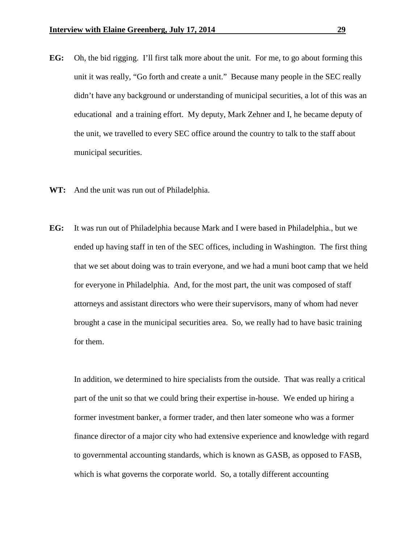- **EG:** Oh, the bid rigging. I'll first talk more about the unit. For me, to go about forming this unit it was really, "Go forth and create a unit." Because many people in the SEC really didn't have any background or understanding of municipal securities, a lot of this was an educational and a training effort. My deputy, Mark Zehner and I, he became deputy of the unit, we travelled to every SEC office around the country to talk to the staff about municipal securities.
- **WT:** And the unit was run out of Philadelphia.
- **EG:** It was run out of Philadelphia because Mark and I were based in Philadelphia., but we ended up having staff in ten of the SEC offices, including in Washington. The first thing that we set about doing was to train everyone, and we had a muni boot camp that we held for everyone in Philadelphia. And, for the most part, the unit was composed of staff attorneys and assistant directors who were their supervisors, many of whom had never brought a case in the municipal securities area. So, we really had to have basic training for them.

In addition, we determined to hire specialists from the outside. That was really a critical part of the unit so that we could bring their expertise in-house. We ended up hiring a former investment banker, a former trader, and then later someone who was a former finance director of a major city who had extensive experience and knowledge with regard to governmental accounting standards, which is known as GASB, as opposed to FASB, which is what governs the corporate world. So, a totally different accounting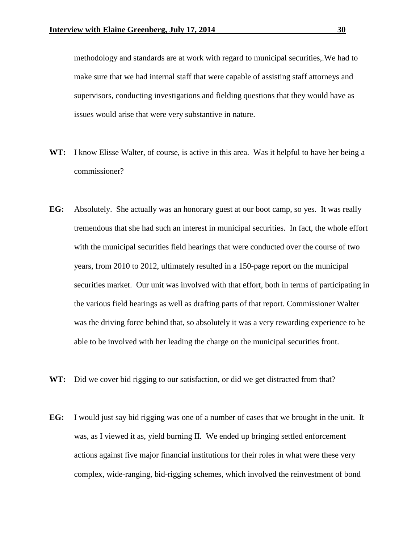methodology and standards are at work with regard to municipal securities,.We had to make sure that we had internal staff that were capable of assisting staff attorneys and supervisors, conducting investigations and fielding questions that they would have as issues would arise that were very substantive in nature.

- **WT:** I know Elisse Walter, of course, is active in this area. Was it helpful to have her being a commissioner?
- **EG:** Absolutely. She actually was an honorary guest at our boot camp, so yes. It was really tremendous that she had such an interest in municipal securities. In fact, the whole effort with the municipal securities field hearings that were conducted over the course of two years, from 2010 to 2012, ultimately resulted in a 150-page report on the municipal securities market. Our unit was involved with that effort, both in terms of participating in the various field hearings as well as drafting parts of that report. Commissioner Walter was the driving force behind that, so absolutely it was a very rewarding experience to be able to be involved with her leading the charge on the municipal securities front.
- WT: Did we cover bid rigging to our satisfaction, or did we get distracted from that?
- **EG:** I would just say bid rigging was one of a number of cases that we brought in the unit. It was, as I viewed it as, yield burning II. We ended up bringing settled enforcement actions against five major financial institutions for their roles in what were these very complex, wide-ranging, bid-rigging schemes, which involved the reinvestment of bond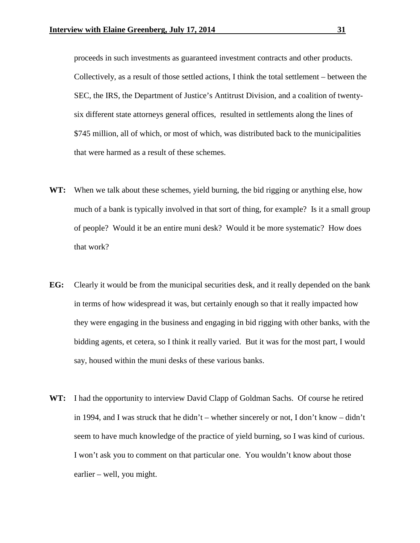proceeds in such investments as guaranteed investment contracts and other products. Collectively, as a result of those settled actions, I think the total settlement – between the SEC, the IRS, the Department of Justice's Antitrust Division, and a coalition of twentysix different state attorneys general offices, resulted in settlements along the lines of \$745 million, all of which, or most of which, was distributed back to the municipalities that were harmed as a result of these schemes.

- **WT:** When we talk about these schemes, yield burning, the bid rigging or anything else, how much of a bank is typically involved in that sort of thing, for example? Is it a small group of people? Would it be an entire muni desk? Would it be more systematic? How does that work?
- **EG:** Clearly it would be from the municipal securities desk, and it really depended on the bank in terms of how widespread it was, but certainly enough so that it really impacted how they were engaging in the business and engaging in bid rigging with other banks, with the bidding agents, et cetera, so I think it really varied. But it was for the most part, I would say, housed within the muni desks of these various banks.
- **WT:** I had the opportunity to interview David Clapp of Goldman Sachs. Of course he retired in 1994, and I was struck that he didn't – whether sincerely or not, I don't know – didn't seem to have much knowledge of the practice of yield burning, so I was kind of curious. I won't ask you to comment on that particular one. You wouldn't know about those earlier – well, you might.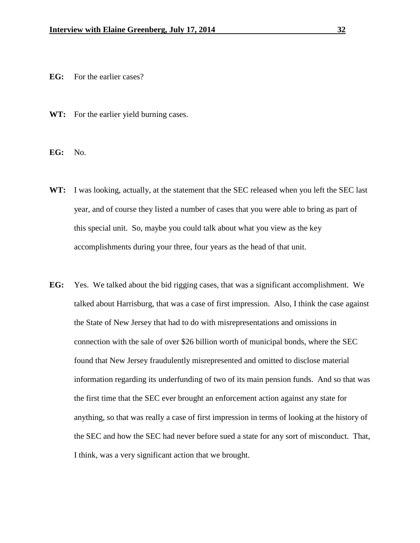- **EG:** For the earlier cases?
- **WT:** For the earlier yield burning cases.

**EG:** No.

- **WT:** I was looking, actually, at the statement that the SEC released when you left the SEC last year, and of course they listed a number of cases that you were able to bring as part of this special unit. So, maybe you could talk about what you view as the key accomplishments during your three, four years as the head of that unit.
- **EG:** Yes. We talked about the bid rigging cases, that was a significant accomplishment. We talked about Harrisburg, that was a case of first impression. Also, I think the case against the State of New Jersey that had to do with misrepresentations and omissions in connection with the sale of over \$26 billion worth of municipal bonds, where the SEC found that New Jersey fraudulently misrepresented and omitted to disclose material information regarding its underfunding of two of its main pension funds. And so that was the first time that the SEC ever brought an enforcement action against any state for anything, so that was really a case of first impression in terms of looking at the history of the SEC and how the SEC had never before sued a state for any sort of misconduct. That, I think, was a very significant action that we brought.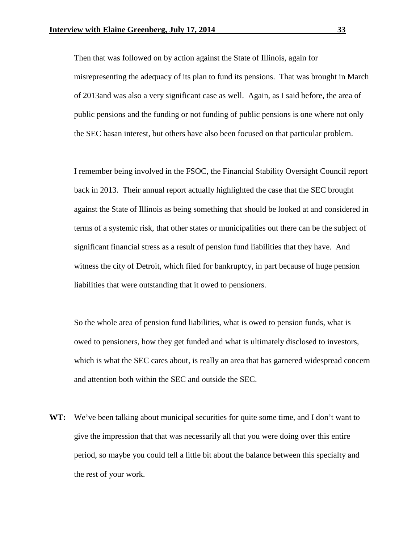Then that was followed on by action against the State of Illinois, again for misrepresenting the adequacy of its plan to fund its pensions. That was brought in March of 2013and was also a very significant case as well. Again, as I said before, the area of public pensions and the funding or not funding of public pensions is one where not only the SEC hasan interest, but others have also been focused on that particular problem.

I remember being involved in the FSOC, the Financial Stability Oversight Council report back in 2013. Their annual report actually highlighted the case that the SEC brought against the State of Illinois as being something that should be looked at and considered in terms of a systemic risk, that other states or municipalities out there can be the subject of significant financial stress as a result of pension fund liabilities that they have. And witness the city of Detroit, which filed for bankruptcy, in part because of huge pension liabilities that were outstanding that it owed to pensioners.

So the whole area of pension fund liabilities, what is owed to pension funds, what is owed to pensioners, how they get funded and what is ultimately disclosed to investors, which is what the SEC cares about, is really an area that has garnered widespread concern and attention both within the SEC and outside the SEC.

**WT:** We've been talking about municipal securities for quite some time, and I don't want to give the impression that that was necessarily all that you were doing over this entire period, so maybe you could tell a little bit about the balance between this specialty and the rest of your work.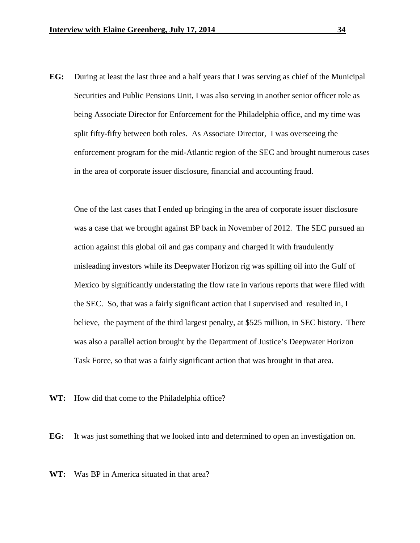**EG:** During at least the last three and a half years that I was serving as chief of the Municipal Securities and Public Pensions Unit, I was also serving in another senior officer role as being Associate Director for Enforcement for the Philadelphia office, and my time was split fifty-fifty between both roles. As Associate Director, I was overseeing the enforcement program for the mid-Atlantic region of the SEC and brought numerous cases in the area of corporate issuer disclosure, financial and accounting fraud.

One of the last cases that I ended up bringing in the area of corporate issuer disclosure was a case that we brought against BP back in November of 2012. The SEC pursued an action against this global oil and gas company and charged it with fraudulently misleading investors while its Deepwater Horizon rig was spilling oil into the Gulf of Mexico by significantly understating the flow rate in various reports that were filed with the SEC. So, that was a fairly significant action that I supervised and resulted in, I believe, the payment of the third largest penalty, at \$525 million, in SEC history. There was also a parallel action brought by the Department of Justice's Deepwater Horizon Task Force, so that was a fairly significant action that was brought in that area.

**WT:** How did that come to the Philadelphia office?

**EG:** It was just something that we looked into and determined to open an investigation on.

**WT:** Was BP in America situated in that area?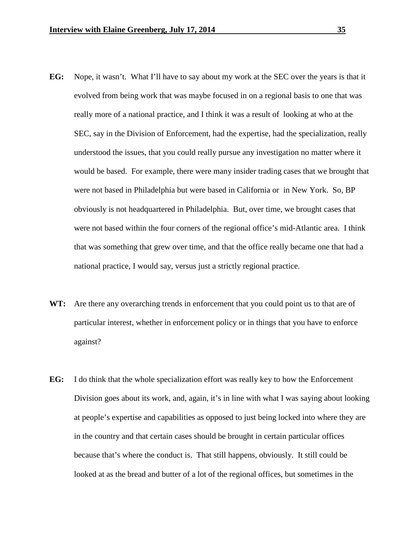- **EG:** Nope, it wasn't. What I'll have to say about my work at the SEC over the years is that it evolved from being work that was maybe focused in on a regional basis to one that was really more of a national practice, and I think it was a result of looking at who at the SEC, say in the Division of Enforcement, had the expertise, had the specialization, really understood the issues, that you could really pursue any investigation no matter where it would be based. For example, there were many insider trading cases that we brought that were not based in Philadelphia but were based in California or in New York. So, BP obviously is not headquartered in Philadelphia. But, over time, we brought cases that were not based within the four corners of the regional office's mid-Atlantic area. I think that was something that grew over time, and that the office really became one that had a national practice, I would say, versus just a strictly regional practice.
- **WT:** Are there any overarching trends in enforcement that you could point us to that are of particular interest, whether in enforcement policy or in things that you have to enforce against?
- **EG:** I do think that the whole specialization effort was really key to how the Enforcement Division goes about its work, and, again, it's in line with what I was saying about looking at people's expertise and capabilities as opposed to just being locked into where they are in the country and that certain cases should be brought in certain particular offices because that's where the conduct is. That still happens, obviously. It still could be looked at as the bread and butter of a lot of the regional offices, but sometimes in the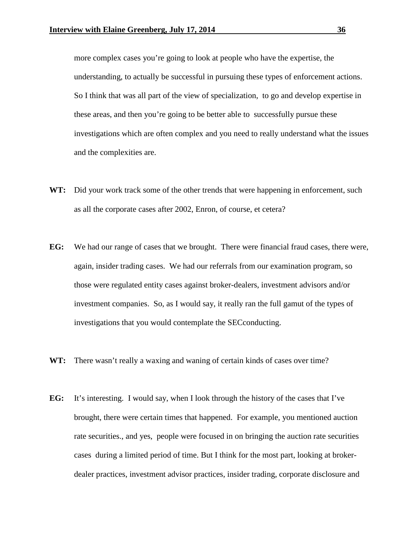more complex cases you're going to look at people who have the expertise, the understanding, to actually be successful in pursuing these types of enforcement actions. So I think that was all part of the view of specialization, to go and develop expertise in these areas, and then you're going to be better able to successfully pursue these investigations which are often complex and you need to really understand what the issues and the complexities are.

- **WT:** Did your work track some of the other trends that were happening in enforcement, such as all the corporate cases after 2002, Enron, of course, et cetera?
- **EG:** We had our range of cases that we brought. There were financial fraud cases, there were, again, insider trading cases. We had our referrals from our examination program, so those were regulated entity cases against broker-dealers, investment advisors and/or investment companies. So, as I would say, it really ran the full gamut of the types of investigations that you would contemplate the SECconducting.
- **WT:** There wasn't really a waxing and waning of certain kinds of cases over time?
- **EG:** It's interesting. I would say, when I look through the history of the cases that I've brought, there were certain times that happened. For example, you mentioned auction rate securities., and yes, people were focused in on bringing the auction rate securities cases during a limited period of time. But I think for the most part, looking at brokerdealer practices, investment advisor practices, insider trading, corporate disclosure and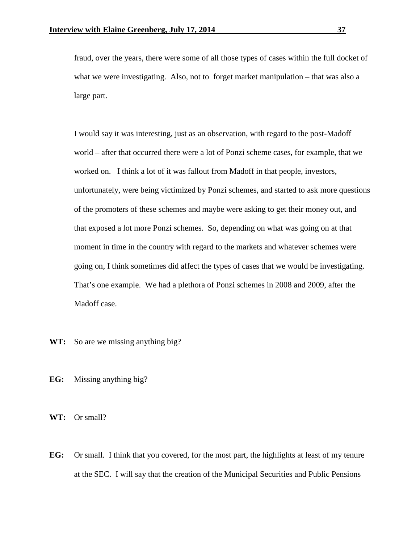fraud, over the years, there were some of all those types of cases within the full docket of what we were investigating. Also, not to forget market manipulation – that was also a large part.

I would say it was interesting, just as an observation, with regard to the post-Madoff world – after that occurred there were a lot of Ponzi scheme cases, for example, that we worked on. I think a lot of it was fallout from Madoff in that people, investors, unfortunately, were being victimized by Ponzi schemes, and started to ask more questions of the promoters of these schemes and maybe were asking to get their money out, and that exposed a lot more Ponzi schemes. So, depending on what was going on at that moment in time in the country with regard to the markets and whatever schemes were going on, I think sometimes did affect the types of cases that we would be investigating. That's one example. We had a plethora of Ponzi schemes in 2008 and 2009, after the Madoff case.

- WT: So are we missing anything big?
- **EG:** Missing anything big?

**WT:** Or small?

**EG:** Or small. I think that you covered, for the most part, the highlights at least of my tenure at the SEC. I will say that the creation of the Municipal Securities and Public Pensions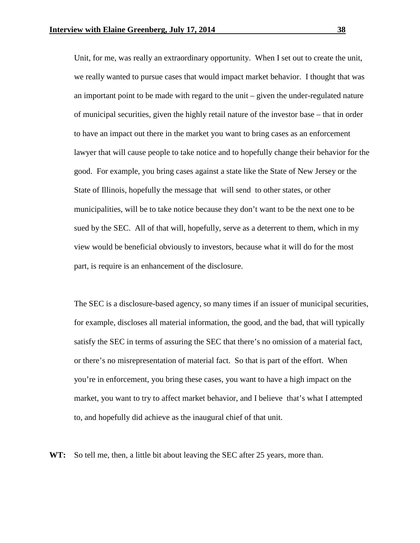Unit, for me, was really an extraordinary opportunity. When I set out to create the unit, we really wanted to pursue cases that would impact market behavior. I thought that was an important point to be made with regard to the unit – given the under-regulated nature of municipal securities, given the highly retail nature of the investor base – that in order to have an impact out there in the market you want to bring cases as an enforcement lawyer that will cause people to take notice and to hopefully change their behavior for the good. For example, you bring cases against a state like the State of New Jersey or the State of Illinois, hopefully the message that will send to other states, or other municipalities, will be to take notice because they don't want to be the next one to be sued by the SEC. All of that will, hopefully, serve as a deterrent to them, which in my view would be beneficial obviously to investors, because what it will do for the most part, is require is an enhancement of the disclosure.

The SEC is a disclosure-based agency, so many times if an issuer of municipal securities, for example, discloses all material information, the good, and the bad, that will typically satisfy the SEC in terms of assuring the SEC that there's no omission of a material fact, or there's no misrepresentation of material fact. So that is part of the effort. When you're in enforcement, you bring these cases, you want to have a high impact on the market, you want to try to affect market behavior, and I believe that's what I attempted to, and hopefully did achieve as the inaugural chief of that unit.

**WT:** So tell me, then, a little bit about leaving the SEC after 25 years, more than.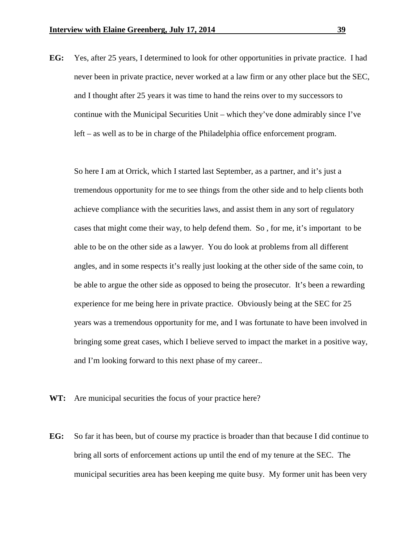**EG:** Yes, after 25 years, I determined to look for other opportunities in private practice. I had never been in private practice, never worked at a law firm or any other place but the SEC, and I thought after 25 years it was time to hand the reins over to my successors to continue with the Municipal Securities Unit – which they've done admirably since I've left – as well as to be in charge of the Philadelphia office enforcement program.

So here I am at Orrick, which I started last September, as a partner, and it's just a tremendous opportunity for me to see things from the other side and to help clients both achieve compliance with the securities laws, and assist them in any sort of regulatory cases that might come their way, to help defend them. So , for me, it's important to be able to be on the other side as a lawyer. You do look at problems from all different angles, and in some respects it's really just looking at the other side of the same coin, to be able to argue the other side as opposed to being the prosecutor. It's been a rewarding experience for me being here in private practice. Obviously being at the SEC for 25 years was a tremendous opportunity for me, and I was fortunate to have been involved in bringing some great cases, which I believe served to impact the market in a positive way, and I'm looking forward to this next phase of my career..

- WT: Are municipal securities the focus of your practice here?
- **EG:** So far it has been, but of course my practice is broader than that because I did continue to bring all sorts of enforcement actions up until the end of my tenure at the SEC. The municipal securities area has been keeping me quite busy. My former unit has been very